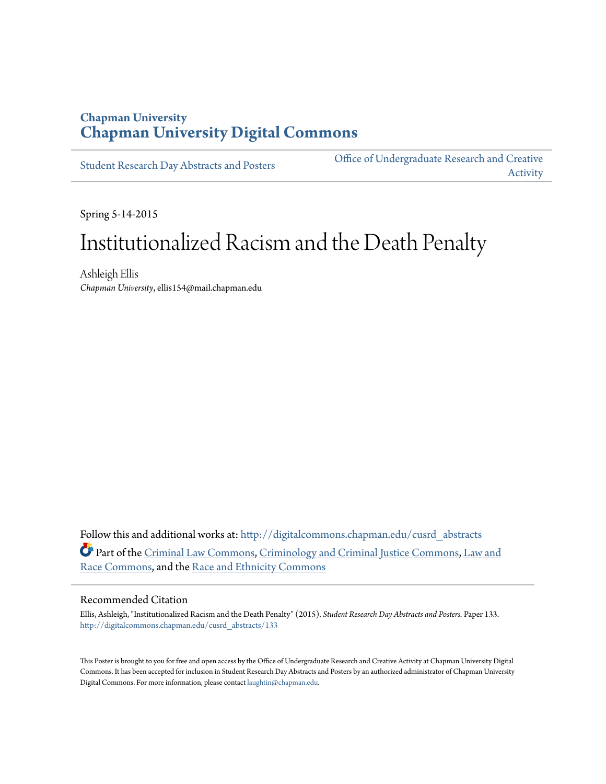#### **Chapman University [Chapman University Digital Commons](http://digitalcommons.chapman.edu?utm_source=digitalcommons.chapman.edu%2Fcusrd_abstracts%2F133&utm_medium=PDF&utm_campaign=PDFCoverPages)**

[Student Research Day Abstracts and Posters](http://digitalcommons.chapman.edu/cusrd_abstracts?utm_source=digitalcommons.chapman.edu%2Fcusrd_abstracts%2F133&utm_medium=PDF&utm_campaign=PDFCoverPages)

[Office of Undergraduate Research and Creative](http://digitalcommons.chapman.edu/our?utm_source=digitalcommons.chapman.edu%2Fcusrd_abstracts%2F133&utm_medium=PDF&utm_campaign=PDFCoverPages) [Activity](http://digitalcommons.chapman.edu/our?utm_source=digitalcommons.chapman.edu%2Fcusrd_abstracts%2F133&utm_medium=PDF&utm_campaign=PDFCoverPages)

Spring 5-14-2015

#### Institutionalized Racism and the Death Penalty

Ashleigh Ellis *Chapman University*, ellis154@mail.chapman.edu

Follow this and additional works at: [http://digitalcommons.chapman.edu/cusrd\\_abstracts](http://digitalcommons.chapman.edu/cusrd_abstracts?utm_source=digitalcommons.chapman.edu%2Fcusrd_abstracts%2F133&utm_medium=PDF&utm_campaign=PDFCoverPages) Part of the [Criminal Law Commons](http://network.bepress.com/hgg/discipline/912?utm_source=digitalcommons.chapman.edu%2Fcusrd_abstracts%2F133&utm_medium=PDF&utm_campaign=PDFCoverPages), [Criminology and Criminal Justice Commons,](http://network.bepress.com/hgg/discipline/367?utm_source=digitalcommons.chapman.edu%2Fcusrd_abstracts%2F133&utm_medium=PDF&utm_campaign=PDFCoverPages) [Law and](http://network.bepress.com/hgg/discipline/1300?utm_source=digitalcommons.chapman.edu%2Fcusrd_abstracts%2F133&utm_medium=PDF&utm_campaign=PDFCoverPages) [Race Commons](http://network.bepress.com/hgg/discipline/1300?utm_source=digitalcommons.chapman.edu%2Fcusrd_abstracts%2F133&utm_medium=PDF&utm_campaign=PDFCoverPages), and the [Race and Ethnicity Commons](http://network.bepress.com/hgg/discipline/426?utm_source=digitalcommons.chapman.edu%2Fcusrd_abstracts%2F133&utm_medium=PDF&utm_campaign=PDFCoverPages)

#### Recommended Citation

Ellis, Ashleigh, "Institutionalized Racism and the Death Penalty" (2015). *Student Research Day Abstracts and Posters.* Paper 133. [http://digitalcommons.chapman.edu/cusrd\\_abstracts/133](http://digitalcommons.chapman.edu/cusrd_abstracts/133?utm_source=digitalcommons.chapman.edu%2Fcusrd_abstracts%2F133&utm_medium=PDF&utm_campaign=PDFCoverPages)

This Poster is brought to you for free and open access by the Office of Undergraduate Research and Creative Activity at Chapman University Digital Commons. It has been accepted for inclusion in Student Research Day Abstracts and Posters by an authorized administrator of Chapman University Digital Commons. For more information, please contact [laughtin@chapman.edu](mailto:laughtin@chapman.edu).